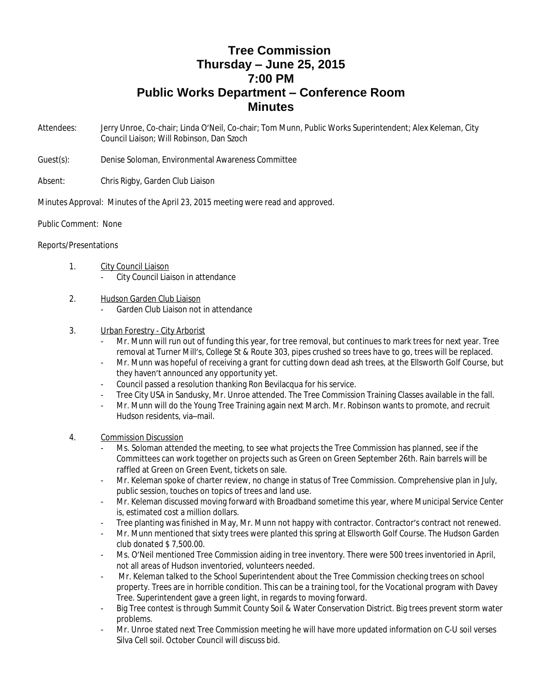## **Tree Commission Thursday – June 25, 2015 7:00 PM Public Works Department – Conference Room Minutes**

Attendees: Jerry Unroe, Co-chair; Linda O'Neil, Co-chair; Tom Munn, Public Works Superintendent; Alex Keleman, City Council Liaison; Will Robinson, Dan Szoch

Guest(s): Denise Soloman, Environmental Awareness Committee

Absent: Chris Rigby, Garden Club Liaison

Minutes Approval: Minutes of the April 23, 2015 meeting were read and approved.

Public Comment: None

## Reports/Presentations

## 1. City Council Liaison

- City Council Liaison in attendance
- 2. Hudson Garden Club Liaison
	- Garden Club Liaison not in attendance

## 3. Urban Forestry - City Arborist

- Mr. Munn will run out of funding this year, for tree removal, but continues to mark trees for next year. Tree removal at Turner Mill's, College St & Route 303, pipes crushed so trees have to go, trees will be replaced.
- Mr. Munn was hopeful of receiving a grant for cutting down dead ash trees, at the Ellsworth Golf Course, but they haven't announced any opportunity yet.
- Council passed a resolution thanking Ron Bevilacqua for his service.
- Tree City USA in Sandusky, Mr. Unroe attended. The Tree Commission Training Classes available in the fall.
- Mr. Munn will do the Young Tree Training again next March. Mr. Robinson wants to promote, and recruit Hudson residents, via–mail.
- 4. Commission Discussion
	- Ms. Soloman attended the meeting, to see what projects the Tree Commission has planned, see if the Committees can work together on projects such as Green on Green September 26th. Rain barrels will be raffled at Green on Green Event, tickets on sale.
	- Mr. Keleman spoke of charter review, no change in status of Tree Commission. Comprehensive plan in July, public session, touches on topics of trees and land use.
	- Mr. Keleman discussed moving forward with Broadband sometime this year, where Municipal Service Center is, estimated cost a million dollars.
	- Tree planting was finished in May, Mr. Munn not happy with contractor. Contractor's contract not renewed.
	- Mr. Munn mentioned that sixty trees were planted this spring at Ellsworth Golf Course. The Hudson Garden club donated \$ 7,500.00.
	- Ms. O'Neil mentioned Tree Commission aiding in tree inventory. There were 500 trees inventoried in April, not all areas of Hudson inventoried, volunteers needed.
	- Mr. Keleman talked to the School Superintendent about the Tree Commission checking trees on school property. Trees are in horrible condition. This can be a training tool, for the Vocational program with Davey Tree. Superintendent gave a green light, in regards to moving forward.
	- Big Tree contest is through Summit County Soil & Water Conservation District. Big trees prevent storm water problems.
	- Mr. Unroe stated next Tree Commission meeting he will have more updated information on C-U soil verses Silva Cell soil. October Council will discuss bid.